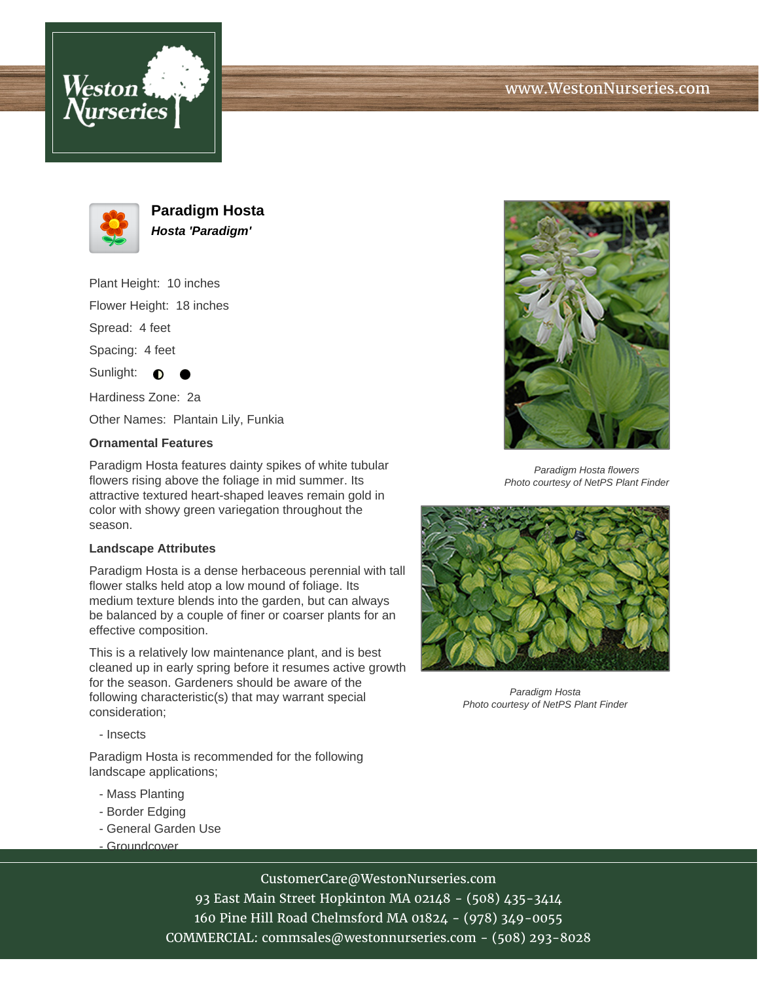



**Paradigm Hosta Hosta 'Paradigm'**

Plant Height: 10 inches

Flower Height: 18 inches

Spread: 4 feet

Spacing: 4 feet

Sunlight:  $\bullet$ 

Hardiness Zone: 2a

Other Names: Plantain Lily, Funkia

## **Ornamental Features**

Paradigm Hosta features dainty spikes of white tubular flowers rising above the foliage in mid summer. Its attractive textured heart-shaped leaves remain gold in color with showy green variegation throughout the season.

## **Landscape Attributes**

Paradigm Hosta is a dense herbaceous perennial with tall flower stalks held atop a low mound of foliage. Its medium texture blends into the garden, but can always be balanced by a couple of finer or coarser plants for an effective composition.

This is a relatively low maintenance plant, and is best cleaned up in early spring before it resumes active growth for the season. Gardeners should be aware of the following characteristic(s) that may warrant special consideration;

- Insects

Paradigm Hosta is recommended for the following landscape applications;

- Mass Planting
- Border Edging
- General Garden Use
- Groundcover



93 East Main Street Hopkinton MA 02148 - (508) 435-3414 160 Pine Hill Road Chelmsford MA 01824 - (978) 349-0055 COMMERCIAL: commsales@westonnurseries.com - (508) 293-8028



Paradigm Hosta flowers Photo courtesy of NetPS Plant Finder



Paradigm Hosta Photo courtesy of NetPS Plant Finder